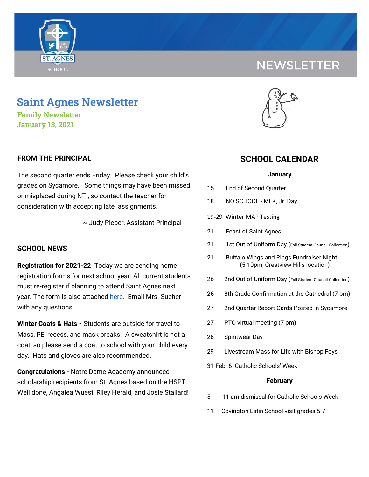# **SCHOOL**

## **Saint Agnes Newsletter**

**Family Newsletter January 13, 2021**

#### **FROM THE PRINCIPAL**

The second quarter ends Friday. Please check your child's grades on Sycamore. Some things may have been missed or misplaced during NTI, so contact the teacher for consideration with accepting late assignments.

~ Judy Pieper, Assistant Principal

#### **SCHOOL NEWS**

**Registration for 2021-22**- Today we are sending home registration forms for next school year. All current students must re-register if planning to attend Saint Agnes next year. The form is also attached [here.](https://school.saintagnes.com/wp-content/uploads/2021/01/Re-registration-form-21-22.pdf) Email Mrs. Sucher with any questions.

**Winter Coats & Hats -** Students are outside for travel to Mass, PE, recess, and mask breaks. A sweatshirt is not a coat, so please send a coat to school with your child every day. Hats and gloves are also recommended.

**Congratulations -** Notre Dame Academy announced scholarship recipients from St. Agnes based on the HSPT. Well done, Angalea Wuest, Riley Herald, and Josie Stallard!





### **SCHOOL CALENDAR**

#### **January**

- 15 End of Second Quarter
- 18 NO SCHOOL MLK, Jr. Day
- 19-29 Winter MAP Testing
- 21 Feast of Saint Agnes
- 21 1st Out of Uniform Day (Fall Student Council Collection)
- 21 Buffalo Wings and Rings Fundraiser Night (5-10pm, Crestview Hills location)
- 26 2nd Out of Uniform Day (Fall Student Council Collection)
- 26 8th Grade Confirmation at the Cathedral (7 pm)
- 27 2nd Quarter Report Cards Posted in Sycamore
- 27 PTO virtual meeting (7 pm)
- 28 Spiritwear Day
- 29 Livestream Mass for Life with Bishop Foys
- 31-Feb. 6 Catholic Schools' Week

#### **February**

- 5 11 am dismissal for Catholic Schools Week
- 11 Covington Latin School visit grades 5-7